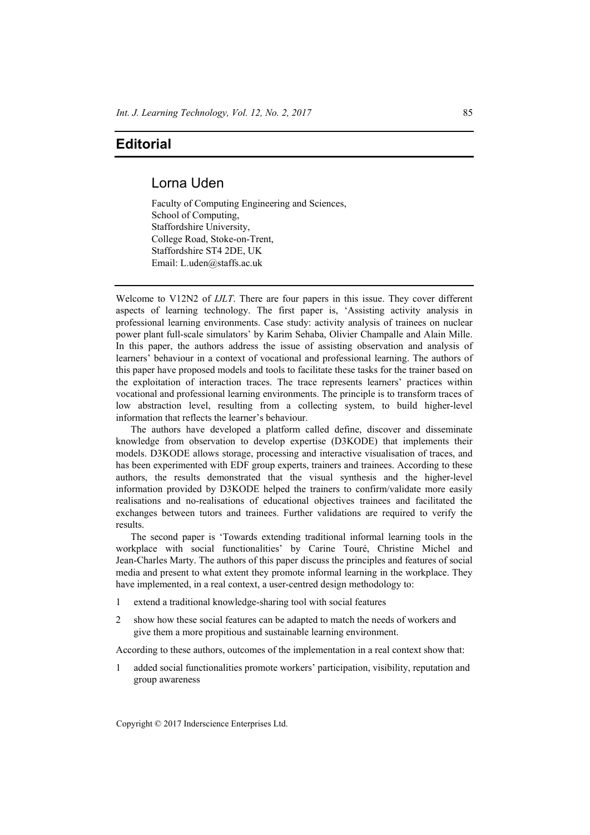## **Editorial**

## Lorna Uden

Faculty of Computing Engineering and Sciences, School of Computing, Staffordshire University, College Road, Stoke-on-Trent, Staffordshire ST4 2DE, UK Email: L.uden@staffs.ac.uk

Welcome to V12N2 of *IJLT*. There are four papers in this issue. They cover different aspects of learning technology. The first paper is, 'Assisting activity analysis in professional learning environments. Case study: activity analysis of trainees on nuclear power plant full-scale simulators' by Karim Sehaba, Olivier Champalle and Alain Mille. In this paper, the authors address the issue of assisting observation and analysis of learners' behaviour in a context of vocational and professional learning. The authors of this paper have proposed models and tools to facilitate these tasks for the trainer based on the exploitation of interaction traces. The trace represents learners' practices within vocational and professional learning environments. The principle is to transform traces of low abstraction level, resulting from a collecting system, to build higher-level information that reflects the learner's behaviour.

The authors have developed a platform called define, discover and disseminate knowledge from observation to develop expertise (D3KODE) that implements their models. D3KODE allows storage, processing and interactive visualisation of traces, and has been experimented with EDF group experts, trainers and trainees. According to these authors, the results demonstrated that the visual synthesis and the higher-level information provided by D3KODE helped the trainers to confirm/validate more easily realisations and no-realisations of educational objectives trainees and facilitated the exchanges between tutors and trainees. Further validations are required to verify the results.

The second paper is 'Towards extending traditional informal learning tools in the workplace with social functionalities' by Carine Touré, Christine Michel and Jean-Charles Marty. The authors of this paper discuss the principles and features of social media and present to what extent they promote informal learning in the workplace. They have implemented, in a real context, a user-centred design methodology to:

- 1 extend a traditional knowledge-sharing tool with social features
- 2 show how these social features can be adapted to match the needs of workers and give them a more propitious and sustainable learning environment.

According to these authors, outcomes of the implementation in a real context show that:

added social functionalities promote workers' participation, visibility, reputation and group awareness

Copyright © 2017 Inderscience Enterprises Ltd.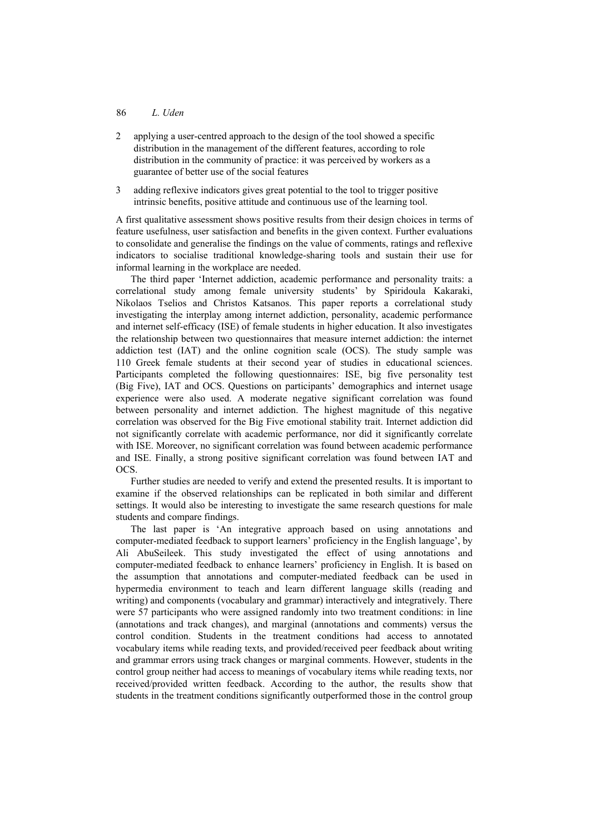## 86 *L. Uden*

- 2 applying a user-centred approach to the design of the tool showed a specific distribution in the management of the different features, according to role distribution in the community of practice: it was perceived by workers as a guarantee of better use of the social features
- 3 adding reflexive indicators gives great potential to the tool to trigger positive intrinsic benefits, positive attitude and continuous use of the learning tool.

A first qualitative assessment shows positive results from their design choices in terms of feature usefulness, user satisfaction and benefits in the given context. Further evaluations to consolidate and generalise the findings on the value of comments, ratings and reflexive indicators to socialise traditional knowledge-sharing tools and sustain their use for informal learning in the workplace are needed.

The third paper 'Internet addiction, academic performance and personality traits: a correlational study among female university students' by Spiridoula Kakaraki, Nikolaos Tselios and Christos Katsanos. This paper reports a correlational study investigating the interplay among internet addiction, personality, academic performance and internet self-efficacy (ISE) of female students in higher education. It also investigates the relationship between two questionnaires that measure internet addiction: the internet addiction test (ΙΑΤ) and the online cognition scale (OCS). The study sample was 110 Greek female students at their second year of studies in educational sciences. Participants completed the following questionnaires: ISE, big five personality test (Big Five), IAT and OCS. Questions on participants' demographics and internet usage experience were also used. A moderate negative significant correlation was found between personality and internet addiction. The highest magnitude of this negative correlation was observed for the Big Five emotional stability trait. Internet addiction did not significantly correlate with academic performance, nor did it significantly correlate with ISE. Moreover, no significant correlation was found between academic performance and ISE. Finally, a strong positive significant correlation was found between IAT and OCS.

Further studies are needed to verify and extend the presented results. It is important to examine if the observed relationships can be replicated in both similar and different settings. It would also be interesting to investigate the same research questions for male students and compare findings.

The last paper is 'An integrative approach based on using annotations and computer-mediated feedback to support learners' proficiency in the English language', by Ali AbuSeileek. This study investigated the effect of using annotations and computer-mediated feedback to enhance learners' proficiency in English. It is based on the assumption that annotations and computer-mediated feedback can be used in hypermedia environment to teach and learn different language skills (reading and writing) and components (vocabulary and grammar) interactively and integratively. There were 57 participants who were assigned randomly into two treatment conditions: in line (annotations and track changes), and marginal (annotations and comments) versus the control condition. Students in the treatment conditions had access to annotated vocabulary items while reading texts, and provided/received peer feedback about writing and grammar errors using track changes or marginal comments. However, students in the control group neither had access to meanings of vocabulary items while reading texts, nor received/provided written feedback. According to the author, the results show that students in the treatment conditions significantly outperformed those in the control group